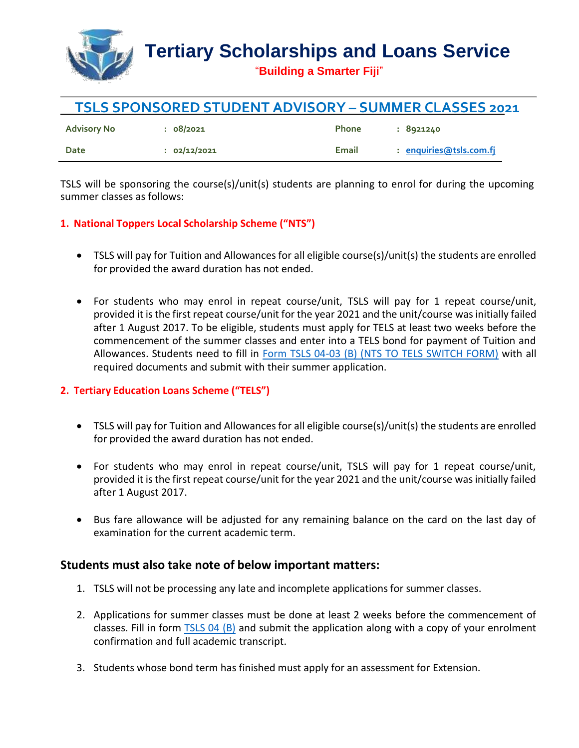

| <b>TSLS SPONSORED STUDENT ADVISORY - SUMMER CLASSES 2021</b> |              |              |                         |
|--------------------------------------------------------------|--------------|--------------|-------------------------|
| Advisory No                                                  | : 08/2021    | <b>Phone</b> | : 8921240               |
| Date                                                         | : 02/12/2021 | Email        | : enquiries@tsls.com.fj |

TSLS will be sponsoring the course(s)/unit(s) students are planning to enrol for during the upcoming summer classes as follows:

## **1. National Toppers Local Scholarship Scheme ("NTS")**

- TSLS will pay for Tuition and Allowances for all eligible course(s)/unit(s) the students are enrolled for provided the award duration has not ended.
- For students who may enrol in repeat course/unit, TSLS will pay for 1 repeat course/unit, provided it is the first repeat course/unit for the year 2021 and the unit/course was initially failed after 1 August 2017. To be eligible, students must apply for TELS at least two weeks before the commencement of the summer classes and enter into a TELS bond for payment of Tuition and Allowances. Students need to fill in [Form TSLS 04-03 \(B\) \(NTS TO TELS SWITCH FORM\)](https://tsls.com.fj/getattachment/Forms/NTS_TO_TELS_SWITCH_FORM_-_(TSLS_04-03)-(1).pdf?lang=en-US) with all required documents and submit with their summer application.

## **2. Tertiary Education Loans Scheme ("TELS")**

- TSLS will pay for Tuition and Allowances for all eligible course(s)/unit(s) the students are enrolled for provided the award duration has not ended.
- For students who may enrol in repeat course/unit, TSLS will pay for 1 repeat course/unit, provided it is the first repeat course/unit for the year 2021 and the unit/course was initially failed after 1 August 2017.
- Bus fare allowance will be adjusted for any remaining balance on the card on the last day of examination for the current academic term.

## **Students must also take note of below important matters:**

- 1. TSLS will not be processing any late and incomplete applications for summer classes.
- 2. Applications for summer classes must be done at least 2 weeks before the commencement of classes. Fill in form [TSLS 04 \(B\)](https://tsls.com.fj/getattachment/Forms/CHANGE_IN__PARTICULARS_-_(TSLS_04)-(1).pdf?lang=en-US) and submit the application along with a copy of your enrolment confirmation and full academic transcript.
- 3. Students whose bond term has finished must apply for an assessment for Extension.